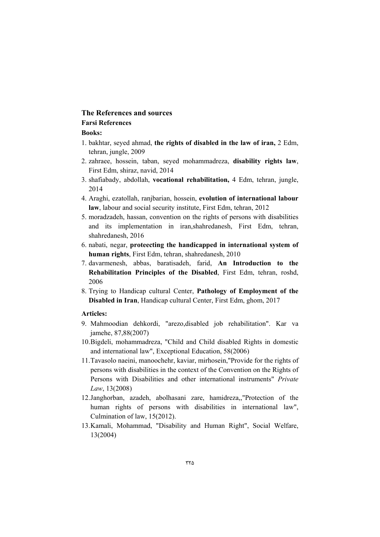# **The References and sources Farsi References**

## **Books:**

- 1. bakhtar, seyed ahmad, **the rights of disabled in the law of iran,** 2 Edm, tehran, jungle, 2009
- 2. zahraee, hossein, taban, seyed mohammadreza, **disability rights law**, First Edm, shiraz, navid, 2014
- 3. shafiabady, abdollah, **vocational rehabilitation,** 4 Edm, tehran, jungle, 2014
- 4. Araghi, ezatollah, ranjbarian, hossein, **evolution of international labour law**, labour and social security institute, First Edm, tehran, 2012
- 5. moradzadeh, hassan, convention on the rights of persons with disabilities and its implementation in iran,shahredanesh, First Edm, tehran, shahredanesh, 2016
- 6. nabati, negar, **proteecting the handicapped in international system of human rights**, First Edm, tehran, shahredanesh, 2010
- 7. davarmenesh, abbas, baratisadeh, farid, **An Introduction to the Rehabilitation Principles of the Disabled**, First Edm, tehran, roshd, 2006
- 8. Trying to Handicap cultural Center, **Pathology of Employment of the Disabled in Iran**, Handicap cultural Center, First Edm, ghom, 2017

### **Articles:**

- 9. Mahmoodian dehkordi, "arezo,disabled job rehabilitation". Kar va jamehe, 87,88(2007)
- 10.Bigdeli, mohammadreza, "Child and Child disabled Rights in domestic and international law", Exceptional Education, 58(2006)
- 11.Tavasolo naeini, manoochehr, kaviar, mirhosein,"Provide for the rights of persons with disabilities in the context of the Convention on the Rights of Persons with Disabilities and other international instruments" *Private Law*, 13(2008)
- 12.Janghorban, azadeh, abolhasani zare, hamidreza,,"Protection of the human rights of persons with disabilities in international law", Culmination of law, 15(2012).
- 13.Kamali, Mohammad, "Disability and Human Right", Social Welfare, 13(2004)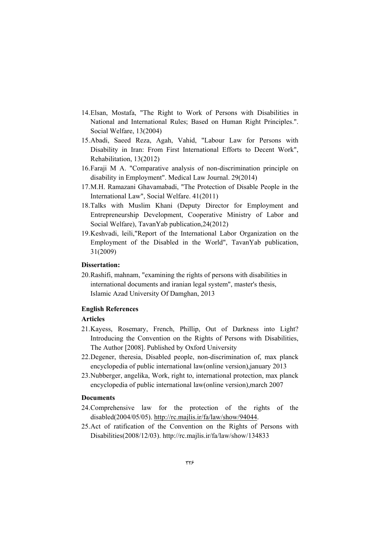- 14.Elsan, Mostafa, "The Right to Work of Persons with Disabilities in National and International Rules; Based on Human Right Principles.". Social Welfare, 13(2004)
- 15.Abadi, Saeed Reza, Agah, Vahid, "Labour Law for Persons with Disability in Iran: From First International Efforts to Decent Work", Rehabilitation, 13(2012)
- 16.Faraji M A. "Comparative analysis of non-discrimination principle on disability in Employment". Medical Law Journal. 29(2014)
- 17.M.H. Ramazani Ghavamabadi, "The Protection of Disable People in the International Law", Social Welfare. 41(2011)
- 18.Talks with Muslim Khani (Deputy Director for Employment and Entrepreneurship Development, Cooperative Ministry of Labor and Social Welfare), TavanYab publication,24(2012)
- 19.Keshvadi, leili,"Report of the International Labor Organization on the Employment of the Disabled in the World", TavanYab publication, 31(2009)

### **Dissertation:**

20.Rashifi, mahnam, "examining the rights of persons with disabilities in international documents and iranian legal system", master's thesis, Islamic Azad University Of Damghan, 2013

### **English References**

# **Articles**

- 21.Kayess, Rosemary, French, Phillip, Out of Darkness into Light? Introducing the Convention on the Rights of Persons with Disabilities, The Author [2008]. Published by Oxford University
- 22.Degener, theresia, Disabled people, non-discrimination of, max planck encyclopedia of public international law(online version),january 2013
- 23.Nubberger, angelika, Work, right to, international protection, max planck encyclopedia of public international law(online version),march 2007

### **Documents**

- 24.Comprehensive law for the protection of the rights of the disabled(2004/05/05). http://rc.majlis.ir/fa/law/show/94044.
- 25.Act of ratification of the Convention on the Rights of Persons with Disabilities(2008/12/03). http://rc.majlis.ir/fa/law/show/134833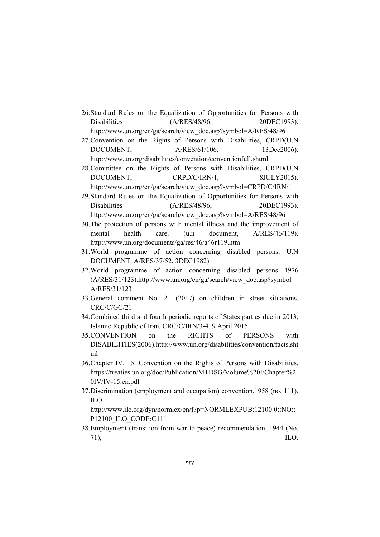- 26.Standard Rules on the Equalization of Opportunities for Persons with Disabilities (A/RES/48/96, 20DEC1993). http://www.un.org/en/ga/search/view\_doc.asp?symbol=A/RES/48/96
- 27.Convention on the Rights of Persons with Disabilities, CRPD(U.N DOCUMENT,  $A/RES/61/106$ , 13Dec2006). http://www.un.org/disabilities/convention/conventionfull.shtml
- 28.Committee on the Rights of Persons with Disabilities, CRPD(U.N DOCUMENT, CRPD/C/IRN/1, 8JULY2015). http://www.un.org/en/ga/search/view\_doc.asp?symbol=CRPD/C/IRN/1
- 29.Standard Rules on the Equalization of Opportunities for Persons with Disabilities (A/RES/48/96, 20DEC1993). http://www.un.org/en/ga/search/view\_doc.asp?symbol=A/RES/48/96
- 30.The protection of persons with mental illness and the improvement of mental health care. (u.n document, A/RES/46/119). http://www.un.org/documents/ga/res/46/a46r119.htm
- 31.World programme of action concerning disabled persons. U.N DOCUMENT, A/RES/37/52, 3DEC1982).
- 32.World programme of action concerning disabled persons 1976 (A/RES/31/123).http://www.un.org/en/ga/search/view\_doc.asp?symbol= A/RES/31/123
- 33.General comment No. 21 (2017) on children in street situations, CRC/C/GC/21
- 34.Combined third and fourth periodic reports of States parties due in 2013, Islamic Republic of Iran, CRC/C/IRN/3-4, 9 April 2015
- 35.CONVENTION on the RIGHTS of PERSONS with DISABILITIES(2006).http://www.un.org/disabilities/convention/facts.sht ml
- 36.Chapter IV. 15. Convention on the Rights of Persons with Disabilities. https://treaties.un.org/doc/Publication/MTDSG/Volume%20I/Chapter%2 0IV/IV-15.en.pdf
- 37.Discrimination (employment and occupation) convention,1958 (no. 111), ILO.

http://www.ilo.org/dyn/normlex/en/f?p=NORMLEXPUB:12100:0::NO:: P12100\_ILO\_CODE:C111

38.Employment (transition from war to peace) recommendation, 1944 (No.  $71$ ), ILO.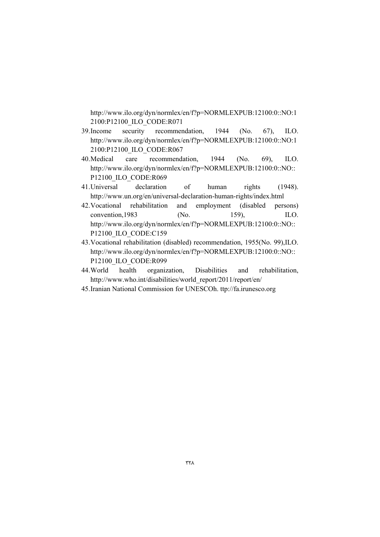http://www.ilo.org/dyn/normlex/en/f?p=NORMLEXPUB:12100:0::NO:1 2100:P12100\_ILO\_CODE:R071

- 39.Income security recommendation, 1944 (No. 67), ILO. http://www.ilo.org/dyn/normlex/en/f?p=NORMLEXPUB:12100:0::NO:1 2100:P12100\_ILO\_CODE:R067
- 40.Medical care recommendation, 1944 (No. 69), ILO. http://www.ilo.org/dyn/normlex/en/f?p=NORMLEXPUB:12100:0::NO:: P12100\_ILO\_CODE:R069
- 41.Universal declaration of human rights (1948). http://www.un.org/en/universal-declaration-human-rights/index.html
- 42.Vocational rehabilitation and employment (disabled persons) convention, 1983 (No. 159), ILO. http://www.ilo.org/dyn/normlex/en/f?p=NORMLEXPUB:12100:0::NO:: P12100\_ILO\_CODE:C159
- 43.Vocational rehabilitation (disabled) recommendation, 1955(No. 99),ILO. http://www.ilo.org/dyn/normlex/en/f?p=NORMLEXPUB:12100:0::NO:: P12100\_ILO\_CODE:R099
- 44.World health organization, Disabilities and rehabilitation, http://www.who.int/disabilities/world\_report/2011/report/en/
- 45.Iranian National Commission for UNESCOh. ttp://fa.irunesco.org